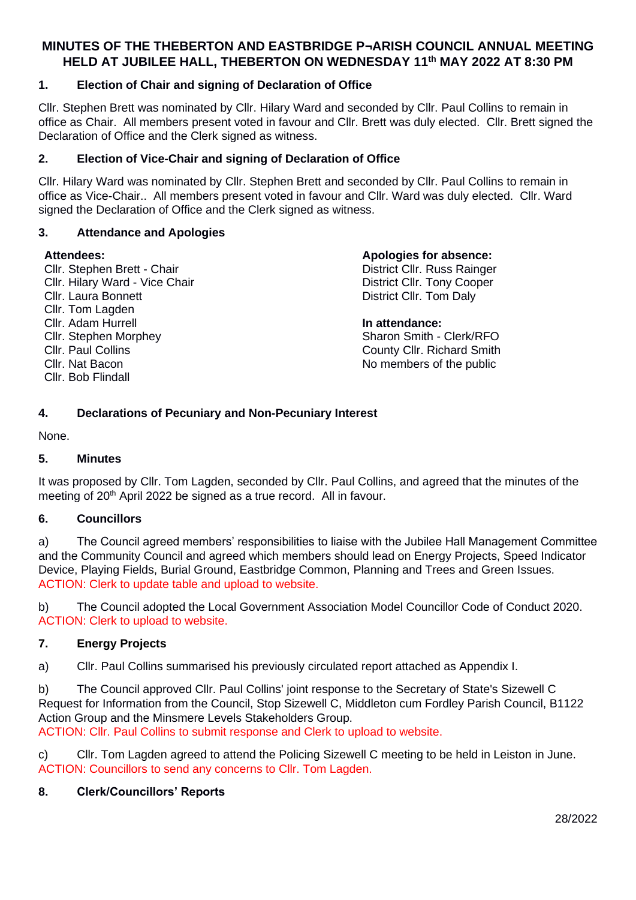# **MINUTES OF THE THEBERTON AND EASTBRIDGE P¬ARISH COUNCIL ANNUAL MEETING HELD AT JUBILEE HALL, THEBERTON ON WEDNESDAY 11th MAY 2022 AT 8:30 PM**

## **1. Election of Chair and signing of Declaration of Office**

Cllr. Stephen Brett was nominated by Cllr. Hilary Ward and seconded by Cllr. Paul Collins to remain in office as Chair. All members present voted in favour and Cllr. Brett was duly elected. Cllr. Brett signed the Declaration of Office and the Clerk signed as witness.

#### **2. Election of Vice-Chair and signing of Declaration of Office**

Cllr. Hilary Ward was nominated by Cllr. Stephen Brett and seconded by Cllr. Paul Collins to remain in office as Vice-Chair.. All members present voted in favour and Cllr. Ward was duly elected. Cllr. Ward signed the Declaration of Office and the Clerk signed as witness.

#### **3. Attendance and Apologies**

#### **Attendees:**

Cllr. Stephen Brett - Chair Cllr. Hilary Ward - Vice Chair Cllr. Laura Bonnett Cllr. Tom Lagden Cllr. Adam Hurrell Cllr. Stephen Morphey Cllr. Paul Collins Cllr. Nat Bacon Cllr. Bob Flindall

#### **Apologies for absence:**

District Cllr. Russ Rainger District Cllr. Tony Cooper District Cllr. Tom Daly

#### **In attendance:**

Sharon Smith - Clerk/RFO County Cllr. Richard Smith No members of the public

### **4. Declarations of Pecuniary and Non-Pecuniary Interest**

None.

#### **5. Minutes**

It was proposed by Cllr. Tom Lagden, seconded by Cllr. Paul Collins, and agreed that the minutes of the meeting of 20<sup>th</sup> April 2022 be signed as a true record. All in favour.

#### **6. Councillors**

a) The Council agreed members' responsibilities to liaise with the Jubilee Hall Management Committee and the Community Council and agreed which members should lead on Energy Projects, Speed Indicator Device, Playing Fields, Burial Ground, Eastbridge Common, Planning and Trees and Green Issues. ACTION: Clerk to update table and upload to website.

b) The Council adopted the Local Government Association Model Councillor Code of Conduct 2020. ACTION: Clerk to upload to website.

#### **7. Energy Projects**

a) Cllr. Paul Collins summarised his previously circulated report attached as Appendix I.

b) The Council approved Cllr. Paul Collins' joint response to the Secretary of State's Sizewell C Request for Information from the Council, Stop Sizewell C, Middleton cum Fordley Parish Council, B1122 Action Group and the Minsmere Levels Stakeholders Group. ACTION: Cllr. Paul Collins to submit response and Clerk to upload to website.

c) Cllr. Tom Lagden agreed to attend the Policing Sizewell C meeting to be held in Leiston in June. ACTION: Councillors to send any concerns to Cllr. Tom Lagden.

#### **8. Clerk/Councillors' Reports**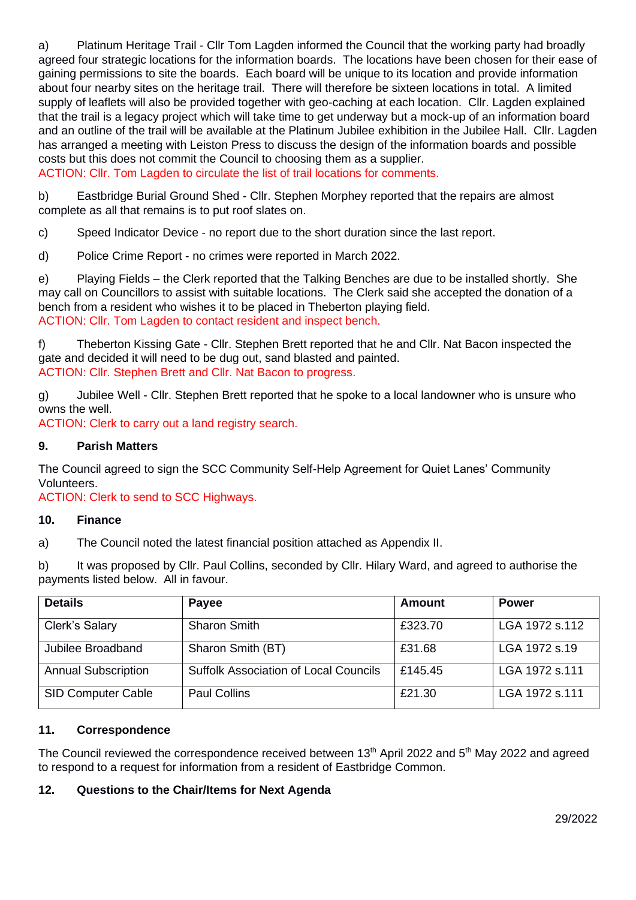a) Platinum Heritage Trail - Cllr Tom Lagden informed the Council that the working party had broadly agreed four strategic locations for the information boards. The locations have been chosen for their ease of gaining permissions to site the boards. Each board will be unique to its location and provide information about four nearby sites on the heritage trail. There will therefore be sixteen locations in total. A limited supply of leaflets will also be provided together with geo-caching at each location. Cllr. Lagden explained that the trail is a legacy project which will take time to get underway but a mock-up of an information board and an outline of the trail will be available at the Platinum Jubilee exhibition in the Jubilee Hall. Cllr. Lagden has arranged a meeting with Leiston Press to discuss the design of the information boards and possible costs but this does not commit the Council to choosing them as a supplier.

ACTION: Cllr. Tom Lagden to circulate the list of trail locations for comments.

b) Eastbridge Burial Ground Shed - Cllr. Stephen Morphey reported that the repairs are almost complete as all that remains is to put roof slates on.

c) Speed Indicator Device - no report due to the short duration since the last report.

d) Police Crime Report - no crimes were reported in March 2022.

e) Playing Fields – the Clerk reported that the Talking Benches are due to be installed shortly. She may call on Councillors to assist with suitable locations. The Clerk said she accepted the donation of a bench from a resident who wishes it to be placed in Theberton playing field. ACTION: Cllr. Tom Lagden to contact resident and inspect bench.

f) Theberton Kissing Gate - Cllr. Stephen Brett reported that he and Cllr. Nat Bacon inspected the gate and decided it will need to be dug out, sand blasted and painted. ACTION: Cllr. Stephen Brett and Cllr. Nat Bacon to progress.

g) Jubilee Well - Cllr. Stephen Brett reported that he spoke to a local landowner who is unsure who owns the well.

ACTION: Clerk to carry out a land registry search.

#### **9. Parish Matters**

The Council agreed to sign the SCC Community Self-Help Agreement for Quiet Lanes' Community Volunteers.

ACTION: Clerk to send to SCC Highways.

#### **10. Finance**

a) The Council noted the latest financial position attached as Appendix II.

b) It was proposed by Cllr. Paul Collins, seconded by Cllr. Hilary Ward, and agreed to authorise the payments listed below. All in favour.

| <b>Details</b>             | Payee                                        | <b>Amount</b> | <b>Power</b>   |
|----------------------------|----------------------------------------------|---------------|----------------|
| Clerk's Salary             | <b>Sharon Smith</b>                          | £323.70       | LGA 1972 s.112 |
| Jubilee Broadband          | Sharon Smith (BT)                            | £31.68        | LGA 1972 s.19  |
| <b>Annual Subscription</b> | <b>Suffolk Association of Local Councils</b> | £145.45       | LGA 1972 s.111 |
| <b>SID Computer Cable</b>  | <b>Paul Collins</b>                          | £21.30        | LGA 1972 s.111 |

#### **11. Correspondence**

The Council reviewed the correspondence received between 13<sup>th</sup> April 2022 and 5<sup>th</sup> May 2022 and agreed to respond to a request for information from a resident of Eastbridge Common.

#### **12. Questions to the Chair/Items for Next Agenda**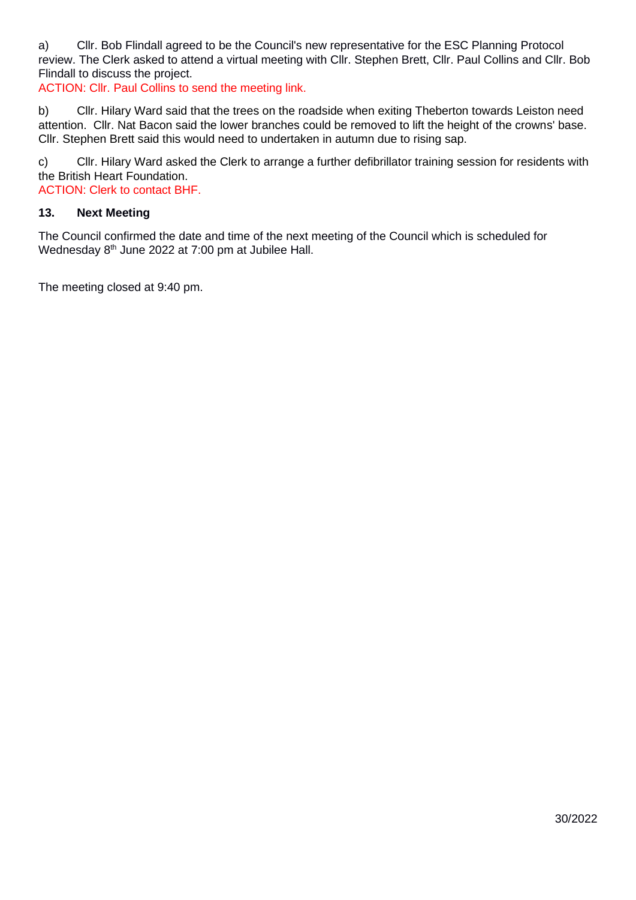a) Cllr. Bob Flindall agreed to be the Council's new representative for the ESC Planning Protocol review. The Clerk asked to attend a virtual meeting with Cllr. Stephen Brett, Cllr. Paul Collins and Cllr. Bob Flindall to discuss the project.

ACTION: Cllr. Paul Collins to send the meeting link.

b) Cllr. Hilary Ward said that the trees on the roadside when exiting Theberton towards Leiston need attention. Cllr. Nat Bacon said the lower branches could be removed to lift the height of the crowns' base. Cllr. Stephen Brett said this would need to undertaken in autumn due to rising sap.

c) Cllr. Hilary Ward asked the Clerk to arrange a further defibrillator training session for residents with the British Heart Foundation.

ACTION: Clerk to contact BHF.

#### **13. Next Meeting**

The Council confirmed the date and time of the next meeting of the Council which is scheduled for Wednesday 8<sup>th</sup> June 2022 at 7:00 pm at Jubilee Hall.

The meeting closed at 9:40 pm.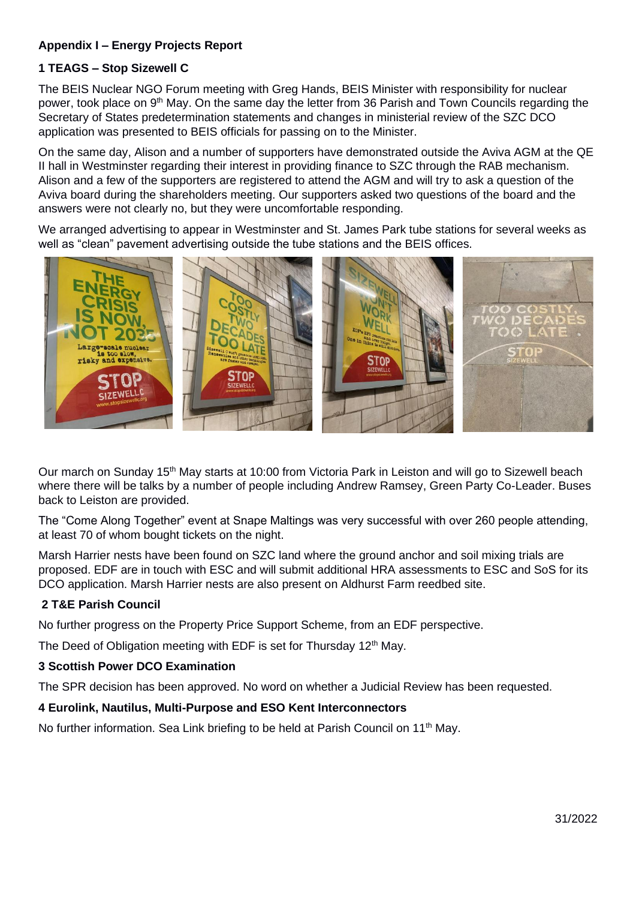# **Appendix I – Energy Projects Report**

# **1 TEAGS – Stop Sizewell C**

The BEIS Nuclear NGO Forum meeting with Greg Hands, BEIS Minister with responsibility for nuclear power, took place on 9<sup>th</sup> May. On the same day the letter from 36 Parish and Town Councils regarding the Secretary of States predetermination statements and changes in ministerial review of the SZC DCO application was presented to BEIS officials for passing on to the Minister.

On the same day, Alison and a number of supporters have demonstrated outside the Aviva AGM at the QE II hall in Westminster regarding their interest in providing finance to SZC through the RAB mechanism. Alison and a few of the supporters are registered to attend the AGM and will try to ask a question of the Aviva board during the shareholders meeting. Our supporters asked two questions of the board and the answers were not clearly no, but they were uncomfortable responding.

We arranged advertising to appear in Westminster and St. James Park tube stations for several weeks as well as "clean" pavement advertising outside the tube stations and the BEIS offices.



Our march on Sunday 15<sup>th</sup> May starts at 10:00 from Victoria Park in Leiston and will go to Sizewell beach where there will be talks by a number of people including Andrew Ramsey, Green Party Co-Leader. Buses back to Leiston are provided.

The "Come Along Together" event at Snape Maltings was very successful with over 260 people attending, at least 70 of whom bought tickets on the night.

Marsh Harrier nests have been found on SZC land where the ground anchor and soil mixing trials are proposed. EDF are in touch with ESC and will submit additional HRA assessments to ESC and SoS for its DCO application. Marsh Harrier nests are also present on Aldhurst Farm reedbed site.

# **2 T&E Parish Council**

No further progress on the Property Price Support Scheme, from an EDF perspective.

The Deed of Obligation meeting with EDF is set for Thursday 12<sup>th</sup> May.

#### **3 Scottish Power DCO Examination**

The SPR decision has been approved. No word on whether a Judicial Review has been requested.

#### **4 Eurolink, Nautilus, Multi-Purpose and ESO Kent Interconnectors**

No further information. Sea Link briefing to be held at Parish Council on  $11<sup>th</sup>$  May.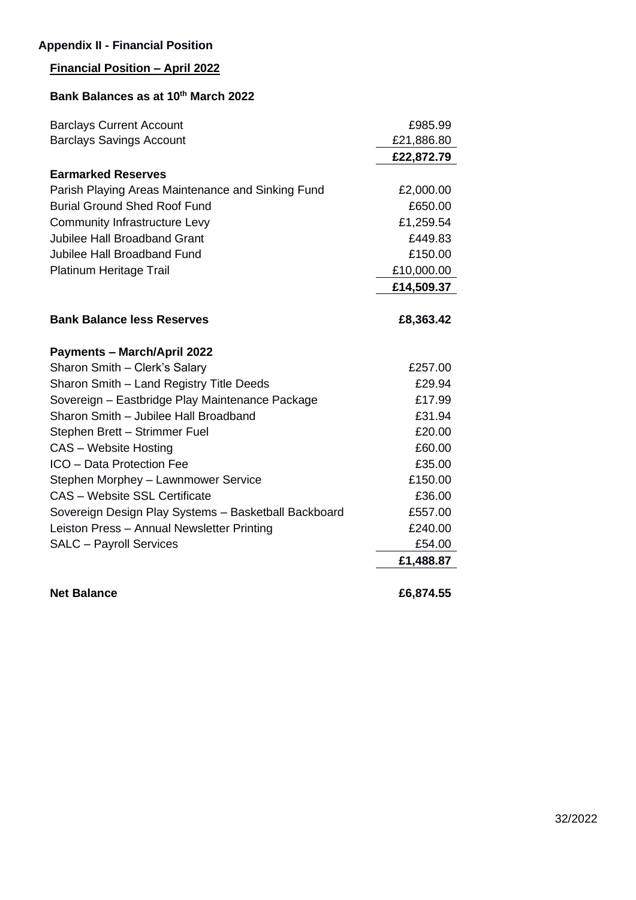# **Appendix II - Financial Position**

# **Financial Position – April 2022**

# **Bank Balances as at 10th March 2022**

| <b>Barclays Current Account</b>                      | £985.99    |
|------------------------------------------------------|------------|
| <b>Barclays Savings Account</b>                      | £21,886.80 |
|                                                      | £22,872.79 |
| <b>Earmarked Reserves</b>                            |            |
| Parish Playing Areas Maintenance and Sinking Fund    | £2,000.00  |
| <b>Burial Ground Shed Roof Fund</b>                  | £650.00    |
| <b>Community Infrastructure Levy</b>                 | £1,259.54  |
| <b>Jubilee Hall Broadband Grant</b>                  | £449.83    |
| Jubilee Hall Broadband Fund                          | £150.00    |
| Platinum Heritage Trail                              | £10,000.00 |
|                                                      | £14,509.37 |
|                                                      |            |
| <b>Bank Balance less Reserves</b>                    | £8,363.42  |
| <b>Payments - March/April 2022</b>                   |            |
| Sharon Smith - Clerk's Salary                        | £257.00    |
| Sharon Smith - Land Registry Title Deeds             | £29.94     |
| Sovereign - Eastbridge Play Maintenance Package      | £17.99     |
| Sharon Smith - Jubilee Hall Broadband                | £31.94     |
| Stephen Brett - Strimmer Fuel                        | £20.00     |
| <b>CAS</b> – Website Hosting                         | £60.00     |
| ICO - Data Protection Fee                            | £35.00     |
| Stephen Morphey - Lawnmower Service                  | £150.00    |
| <b>CAS - Website SSL Certificate</b>                 | £36.00     |
| Sovereign Design Play Systems - Basketball Backboard | £557.00    |
| Leiston Press - Annual Newsletter Printing           | £240.00    |
| <b>SALC - Payroll Services</b>                       | £54.00     |
|                                                      | £1,488.87  |
|                                                      |            |

**Net Balance £6,874.55**